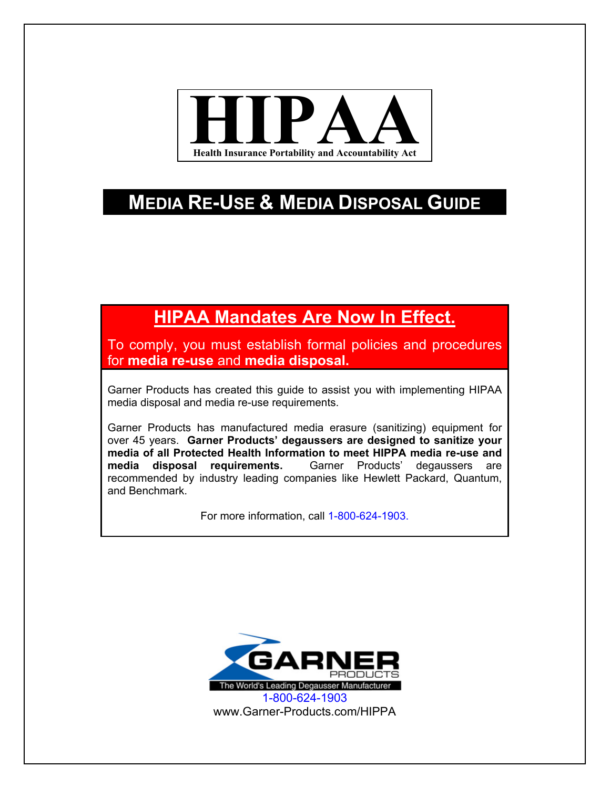

# **MEDIA RE-USE & MEDIA DISPOSAL GUIDE**

# **HIPAA Mandates Are Now In Effect.**

To comply, you must establish formal policies and procedures for **media re-use** and **media disposal.**

Garner Products has created this guide to assist you with implementing HIPAA media disposal and media re-use requirements.

Garner Products has manufactured media erasure (sanitizing) equipment for over 45 years. **Garner Products' degaussers are designed to sanitize your media of all Protected Health Information to meet HIPPA media re-use and media disposal requirements.** Garner Products' degaussers are recommended by industry leading companies like Hewlett Packard, Quantum, and Benchmark.

For more information, call 1-800-624-1903.

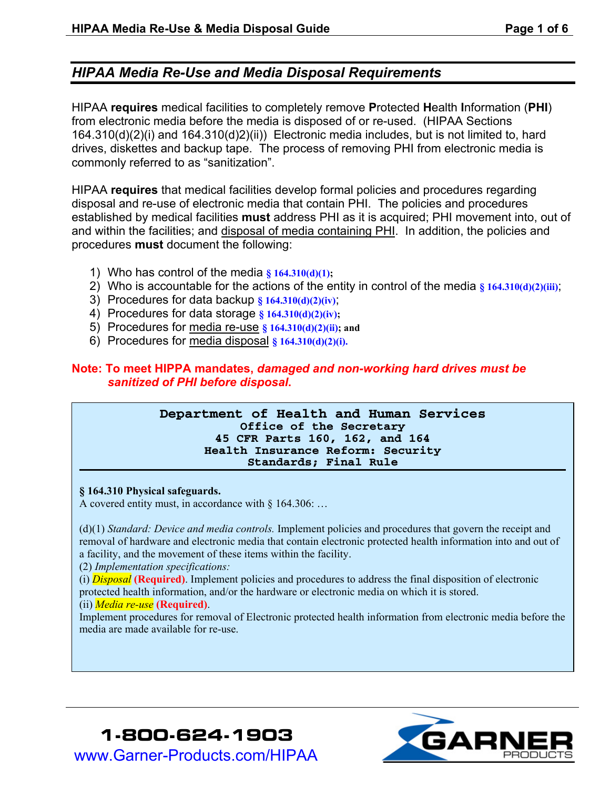## *HIPAA Media Re-Use and Media Disposal Requirements*

HIPAA **requires** medical facilities to completely remove **P**rotected **H**ealth **I**nformation (**PHI**) from electronic media before the media is disposed of or re-used. (HIPAA Sections 164.310(d)(2)(i) and 164.310(d)2)(ii)) Electronic media includes, but is not limited to, hard drives, diskettes and backup tape. The process of removing PHI from electronic media is commonly referred to as "sanitization".

HIPAA **requires** that medical facilities develop formal policies and procedures regarding disposal and re-use of electronic media that contain PHI. The policies and procedures established by medical facilities **must** address PHI as it is acquired; PHI movement into, out of and within the facilities; and disposal of media containing PHI. In addition, the policies and procedures **must** document the following:

- 1) Who has control of the media **§ 164.310(d)(1);**
- 2) Who is accountable for the actions of the entity in control of the media **§ 164.310(d)(2)(iii)**;
- 3) Procedures for data backup **§ 164.310(d)(2)(iv)**;
- 4) Procedures for data storage **§ 164.310(d)(2)(iv);**
- 5) Procedures for media re-use **§ 164.310(d)(2)(ii); and**
- 6) Procedures for media disposal **§ 164.310(d)(2)(i).**

### **Note: To meet HIPPA mandates,** *damaged and non-working hard drives must be sanitized of PHI before disposal***.**

#### **Department of Health and Human Services Office of the Secretary 45 CFR Parts 160, 162, and 164 Health Insurance Reform: Security Standards; Final Rule**

#### **§ 164.310 Physical safeguards.**

A covered entity must, in accordance with § 164.306: …

(d)(1) *Standard: Device and media controls.* Implement policies and procedures that govern the receipt and removal of hardware and electronic media that contain electronic protected health information into and out of a facility, and the movement of these items within the facility.

(2) *Implementation specifications:* 

(i) *Disposal* **(Required)**. Implement policies and procedures to address the final disposition of electronic protected health information, and/or the hardware or electronic media on which it is stored.

#### (ii) *Media re-use* **(Required)**.

Implement procedures for removal of Electronic protected health information from electronic media before the media are made available for re-use.



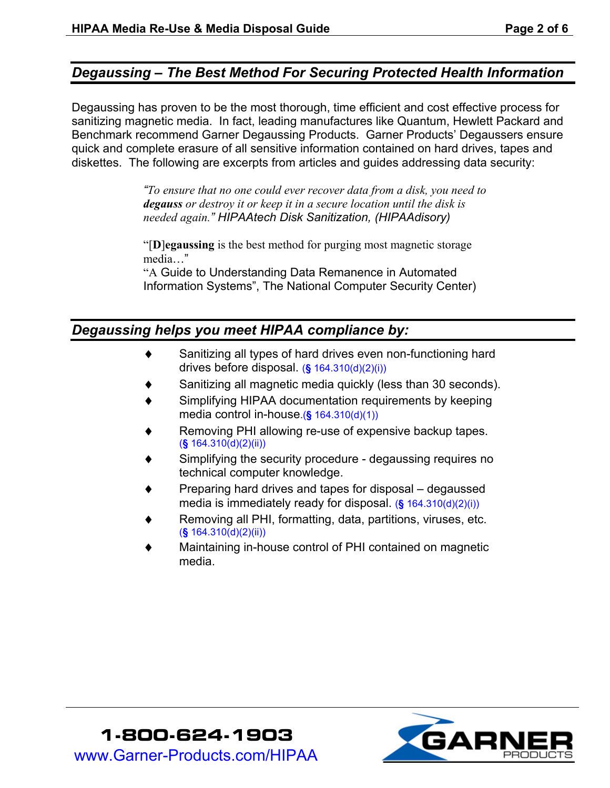## *Degaussing – The Best Method For Securing Protected Health Information*

Degaussing has proven to be the most thorough, time efficient and cost effective process for sanitizing magnetic media. In fact, leading manufactures like Quantum, Hewlett Packard and Benchmark recommend Garner Degaussing Products. Garner Products' Degaussers ensure quick and complete erasure of all sensitive information contained on hard drives, tapes and diskettes. The following are excerpts from articles and guides addressing data security:

> *"To ensure that no one could ever recover data from a disk, you need to degauss or destroy it or keep it in a secure location until the disk is needed again." HIPAAtech Disk Sanitization, (HIPAAdisory)*

"[**D**]**egaussing** is the best method for purging most magnetic storage media…"

"A Guide to Understanding Data Remanence in Automated Information Systems", The National Computer Security Center)

## *Degaussing helps you meet HIPAA compliance by:*

- Sanitizing all types of hard drives even non-functioning hard drives before disposal. (**§** 164.310(d)(2)(i))
- Sanitizing all magnetic media quickly (less than 30 seconds).
- Simplifying HIPAA documentation requirements by keeping media control in-house.(**§** 164.310(d)(1))
- Removing PHI allowing re-use of expensive backup tapes. (**§** 164.310(d)(2)(ii))
- Simplifying the security procedure degaussing requires no technical computer knowledge.
- Preparing hard drives and tapes for disposal degaussed media is immediately ready for disposal. (**§** 164.310(d)(2)(i))
- Removing all PHI, formatting, data, partitions, viruses, etc. (**§** 164.310(d)(2)(ii))
- Maintaining in-house control of PHI contained on magnetic media.

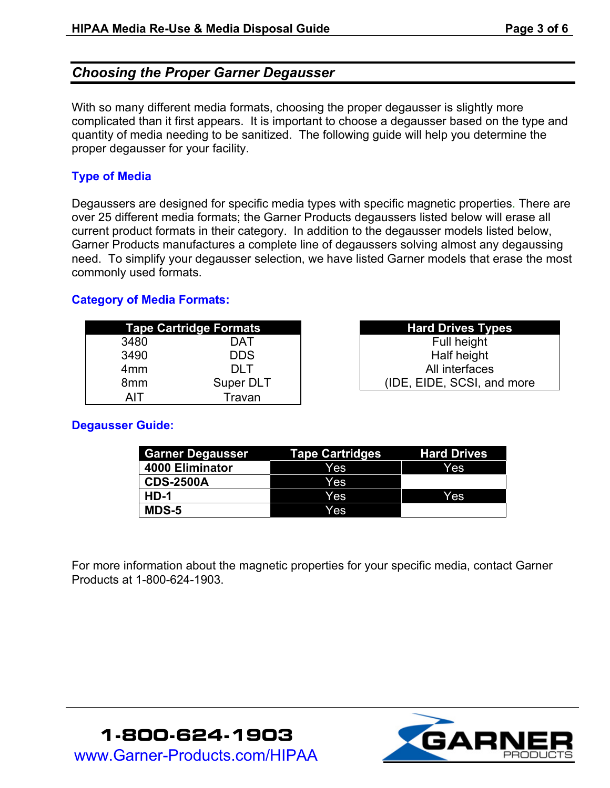## *Choosing the Proper Garner Degausser*

With so many different media formats, choosing the proper degausser is slightly more complicated than it first appears. It is important to choose a degausser based on the type and quantity of media needing to be sanitized. The following guide will help you determine the proper degausser for your facility.

### **Type of Media**

Degaussers are designed for specific media types with specific magnetic properties. There are over 25 different media formats; the Garner Products degaussers listed below will erase all current product formats in their category. In addition to the degausser models listed below, Garner Products manufactures a complete line of degaussers solving almost any degaussing need. To simplify your degausser selection, we have listed Garner models that erase the most commonly used formats.

#### **Category of Media Formats:**

|                 | <b>Tape Cartridge Formats</b> | <b>Hard Drives Types</b>   |
|-----------------|-------------------------------|----------------------------|
| 3480            | DAT                           | Full height                |
| 3490            | <b>DDS</b>                    | Half height                |
| 4 <sub>mm</sub> | DI T                          | All interfaces             |
| 8 <sub>mm</sub> | Super DLT                     | (IDE, EIDE, SCSI, and more |
|                 | Travan                        |                            |

| <b>Hard Drives Types</b>   |  |  |  |
|----------------------------|--|--|--|
| Full height                |  |  |  |
| Half height                |  |  |  |
| All interfaces             |  |  |  |
| (IDE, EIDE, SCSI, and more |  |  |  |

### **Degausser Guide:**

| <b>Garner Degausser</b> | <b>Tape Cartridges</b> | <b>Hard Drives</b> |
|-------------------------|------------------------|--------------------|
| 4000 Eliminator         | Yes                    | Yes                |
| <b>CDS-2500A</b>        | Yes                    |                    |
| $HD-1$                  | Yes                    | Yes                |
| <b>MDS-5</b>            | Yes                    |                    |

For more information about the magnetic properties for your specific media, contact Garner Products at 1-800-624-1903.

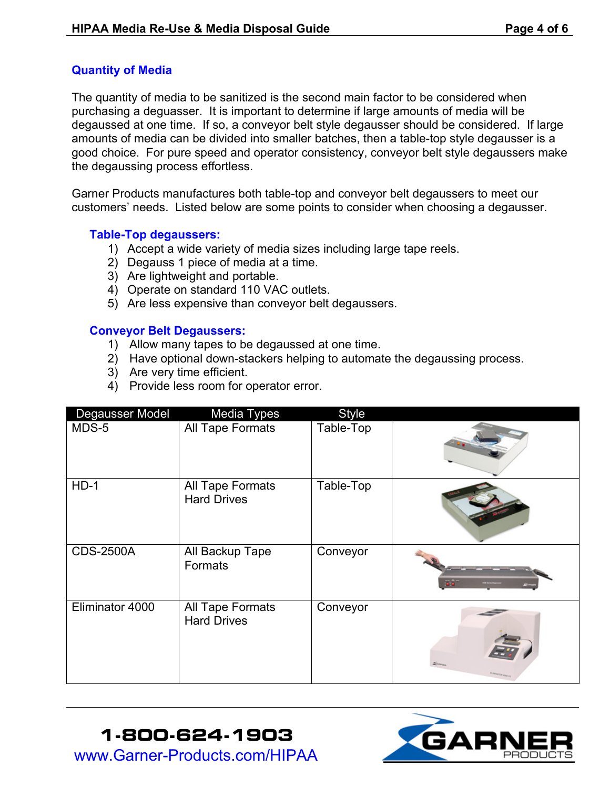### **Quantity of Media**

The quantity of media to be sanitized is the second main factor to be considered when purchasing a deguasser. It is important to determine if large amounts of media will be degaussed at one time. If so, a conveyor belt style degausser should be considered. If large amounts of media can be divided into smaller batches, then a table-top style degausser is a good choice. For pure speed and operator consistency, conveyor belt style degaussers make the degaussing process effortless.

Garner Products manufactures both table-top and conveyor belt degaussers to meet our customers' needs. Listed below are some points to consider when choosing a degausser.

#### **Table-Top degaussers:**

- 1) Accept a wide variety of media sizes including large tape reels.
- 2) Degauss 1 piece of media at a time.
- 3) Are lightweight and portable.
- 4) Operate on standard 110 VAC outlets.
- 5) Are less expensive than conveyor belt degaussers.

#### **Conveyor Belt Degaussers:**

- 1) Allow many tapes to be degaussed at one time.
- 2) Have optional down-stackers helping to automate the degaussing process.
- 3) Are very time efficient.
- 4) Provide less room for operator error.

| Degausser Model  | <b>Media Types</b>                     | <b>Style</b> |                       |
|------------------|----------------------------------------|--------------|-----------------------|
| MDS-5            | All Tape Formats                       | Table-Top    |                       |
| $HD-1$           | All Tape Formats<br><b>Hard Drives</b> | Table-Top    |                       |
| <b>CDS-2500A</b> | All Backup Tape<br>Formats             | Conveyor     |                       |
| Eliminator 4000  | All Tape Formats<br><b>Hard Drives</b> | Conveyor     | $E^{i_{\text{dyn}}}.$ |

# **1-800-624-1903**  www.Garner-Products.com/HIPAA

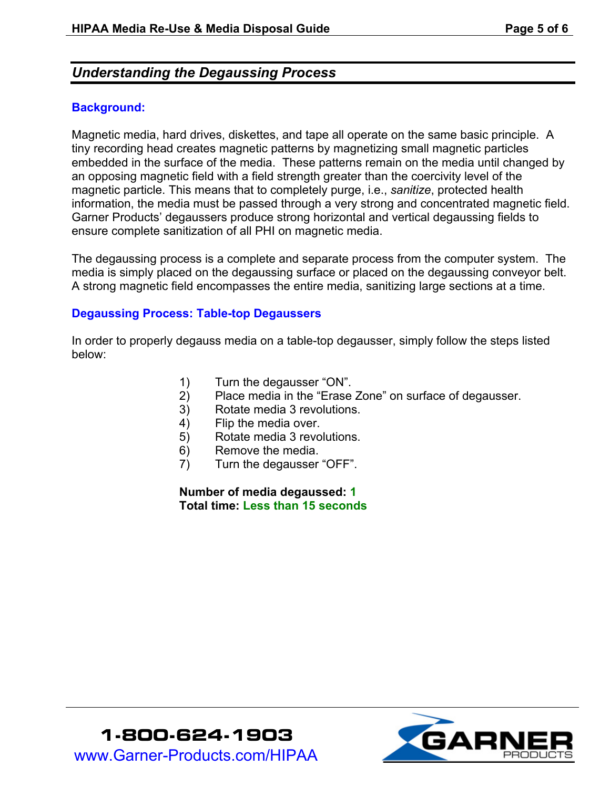## *Understanding the Degaussing Process*

#### **Background:**

Magnetic media, hard drives, diskettes, and tape all operate on the same basic principle. A tiny recording head creates magnetic patterns by magnetizing small magnetic particles embedded in the surface of the media. These patterns remain on the media until changed by an opposing magnetic field with a field strength greater than the coercivity level of the magnetic particle. This means that to completely purge, i.e., *sanitize*, protected health information, the media must be passed through a very strong and concentrated magnetic field. Garner Products' degaussers produce strong horizontal and vertical degaussing fields to ensure complete sanitization of all PHI on magnetic media.

The degaussing process is a complete and separate process from the computer system. The media is simply placed on the degaussing surface or placed on the degaussing conveyor belt. A strong magnetic field encompasses the entire media, sanitizing large sections at a time.

#### **Degaussing Process: Table-top Degaussers**

In order to properly degauss media on a table-top degausser, simply follow the steps listed below:

- 1) Turn the degausser "ON".
- 2) Place media in the "Erase Zone" on surface of degausser.
- 3) Rotate media 3 revolutions.
- 4) Flip the media over.
- 5) Rotate media 3 revolutions.
- 6) Remove the media.
- 7) Turn the degausser "OFF".

**Number of media degaussed: 1 Total time: Less than 15 seconds**